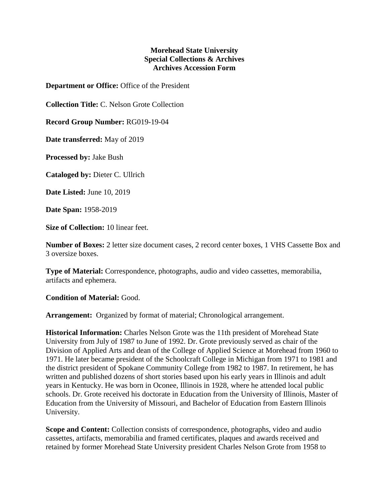## **Morehead State University Special Collections & Archives Archives Accession Form**

**Department or Office:** Office of the President

**Collection Title:** C. Nelson Grote Collection

**Record Group Number:** RG019-19-04

**Date transferred:** May of 2019

**Processed by:** Jake Bush

**Cataloged by:** Dieter C. Ullrich

**Date Listed:** June 10, 2019

**Date Span:** 1958-2019

**Size of Collection:** 10 linear feet.

**Number of Boxes:** 2 letter size document cases, 2 record center boxes, 1 VHS Cassette Box and 3 oversize boxes.

**Type of Material:** Correspondence, photographs, audio and video cassettes, memorabilia, artifacts and ephemera.

**Condition of Material:** Good.

**Arrangement:** Organized by format of material; Chronological arrangement.

**Historical Information:** Charles Nelson Grote was the 11th president of Morehead State University from July of 1987 to June of 1992. Dr. Grote previously served as chair of the Division of Applied Arts and dean of the College of Applied Science at Morehead from 1960 to 1971. He later became president of the Schoolcraft College in Michigan from 1971 to 1981 and the district president of Spokane Community College from 1982 to 1987. In retirement, he has written and published dozens of short stories based upon his early years in Illinois and adult years in Kentucky. He was born in Oconee, Illinois in 1928, where he attended local public schools. Dr. Grote received his doctorate in Education from the University of Illinois, Master of Education from the University of Missouri, and Bachelor of Education from Eastern Illinois University.

**Scope and Content:** Collection consists of correspondence, photographs, video and audio cassettes, artifacts, memorabilia and framed certificates, plaques and awards received and retained by former Morehead State University president Charles Nelson Grote from 1958 to